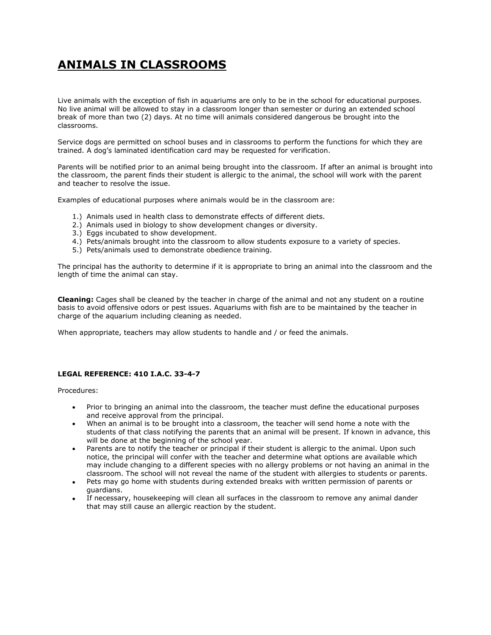## **ANIMALS IN CLASSROOMS**

Live animals with the exception of fish in aquariums are only to be in the school for educational purposes. No live animal will be allowed to stay in a classroom longer than semester or during an extended school break of more than two (2) days. At no time will animals considered dangerous be brought into the classrooms.

Service dogs are permitted on school buses and in classrooms to perform the functions for which they are trained. A dog's laminated identification card may be requested for verification.

Parents will be notified prior to an animal being brought into the classroom. If after an animal is brought into the classroom, the parent finds their student is allergic to the animal, the school will work with the parent and teacher to resolve the issue.

Examples of educational purposes where animals would be in the classroom are:

- 1.) Animals used in health class to demonstrate effects of different diets.
- 2.) Animals used in biology to show development changes or diversity.
- 3.) Eggs incubated to show development.
- 4.) Pets/animals brought into the classroom to allow students exposure to a variety of species.
- 5.) Pets/animals used to demonstrate obedience training.

The principal has the authority to determine if it is appropriate to bring an animal into the classroom and the length of time the animal can stay.

**Cleaning:** Cages shall be cleaned by the teacher in charge of the animal and not any student on a routine basis to avoid offensive odors or pest issues. Aquariums with fish are to be maintained by the teacher in charge of the aquarium including cleaning as needed.

When appropriate, teachers may allow students to handle and / or feed the animals.

## **LEGAL REFERENCE: 410 I.A.C. 33-4-7**

Procedures:

- Prior to bringing an animal into the classroom, the teacher must define the educational purposes and receive approval from the principal.
- When an animal is to be brought into a classroom, the teacher will send home a note with the students of that class notifying the parents that an animal will be present. If known in advance, this will be done at the beginning of the school year.
- Parents are to notify the teacher or principal if their student is allergic to the animal. Upon such notice, the principal will confer with the teacher and determine what options are available which may include changing to a different species with no allergy problems or not having an animal in the classroom. The school will not reveal the name of the student with allergies to students or parents.
- Pets may go home with students during extended breaks with written permission of parents or guardians.
- If necessary, housekeeping will clean all surfaces in the classroom to remove any animal dander that may still cause an allergic reaction by the student.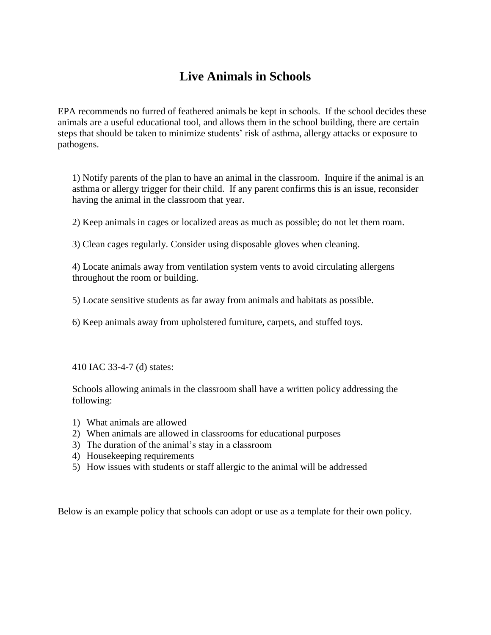## **Live Animals in Schools**

EPA recommends no furred of feathered animals be kept in schools. If the school decides these animals are a useful educational tool, and allows them in the school building, there are certain steps that should be taken to minimize students' risk of asthma, allergy attacks or exposure to pathogens.

1) Notify parents of the plan to have an animal in the classroom. Inquire if the animal is an asthma or allergy trigger for their child. If any parent confirms this is an issue, reconsider having the animal in the classroom that year.

2) Keep animals in cages or localized areas as much as possible; do not let them roam.

3) Clean cages regularly. Consider using disposable gloves when cleaning.

4) Locate animals away from ventilation system vents to avoid circulating allergens throughout the room or building.

5) Locate sensitive students as far away from animals and habitats as possible.

6) Keep animals away from upholstered furniture, carpets, and stuffed toys.

410 IAC 33-4-7 (d) states:

Schools allowing animals in the classroom shall have a written policy addressing the following:

- 1) What animals are allowed
- 2) When animals are allowed in classrooms for educational purposes
- 3) The duration of the animal's stay in a classroom
- 4) Housekeeping requirements
- 5) How issues with students or staff allergic to the animal will be addressed

Below is an example policy that schools can adopt or use as a template for their own policy.